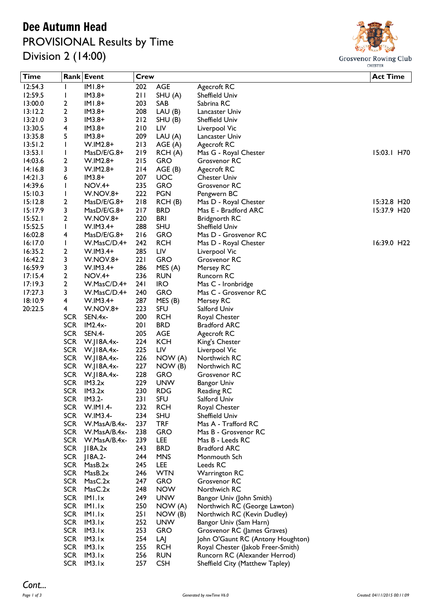## Dee Autumn Head

PROVISIONAL Results by Time Division 2 (14:00)



٦

| Time    |              | Rank Event      | Crew |            |                                   | <b>Act Time</b> |
|---------|--------------|-----------------|------|------------|-----------------------------------|-----------------|
| 12:54.3 | $\mathbf{I}$ | $IMI.8+$        | 202  | <b>AGE</b> | Agecroft RC                       |                 |
| 12:59.5 | $\mathbf{I}$ | $IM3.8+$        | 211  | SHU (A)    | Sheffield Univ                    |                 |
| 13:00.0 | 2            | $HMI.8+$        | 203  | SAB        | Sabrina RC                        |                 |
| 13:12.2 | 2            | $IM3.8+$        | 208  | LAU(B)     | Lancaster Univ                    |                 |
| 13:21.0 | 3            | $IM3.8+$        | 212  | SHU(B)     | Sheffield Univ                    |                 |
| 13:30.5 |              | $IM3.8+$        | 210  | LIV        |                                   |                 |
|         | 4            |                 | 209  |            | Liverpool Vic                     |                 |
| 13:35.8 | 5            | $IM3.8+$        |      | LAU(A)     | Lancaster Univ                    |                 |
| 13:51.2 | $\mathbf{I}$ | $W.IM2.8+$      | 213  | AGE(A)     | Agecroft RC                       |                 |
| 13:53.1 | $\mathsf I$  | $MasD/E/G.8+$   | 219  | RCH(A)     | Mas G - Royal Chester             | 15:03.1 H70     |
| 14:03.6 | 2            | $W.IM2.8+$      | 215  | <b>GRO</b> | Grosvenor RC                      |                 |
| 14:16.8 | 3            | $W.IM2.8+$      | 214  | AGE(B)     | Agecroft RC                       |                 |
| 14:21.3 | 6            | $IM3.8+$        | 207  | <b>UOC</b> | <b>Chester Univ</b>               |                 |
| 14:39.6 | $\mathbf{I}$ | $NOV.4+$        | 235  | <b>GRO</b> | Grosvenor RC                      |                 |
| 15:10.3 | $\mathbf{I}$ | $W.NOV.8+$      | 222  | <b>PGN</b> | Pengwern BC                       |                 |
| 15:12.8 | 2            | $MasD/E/G.8+$   | 218  | RCH(B)     | Mas D - Royal Chester             | 15:32.8 H20     |
| 15:17.9 | 3            | $MasD/E/G.8+$   | 217  | <b>BRD</b> | Mas E - Bradford ARC              | 15:37.9 H20     |
| 15:52.1 | 2            | $W.NOV.8+$      | 220  | <b>BRI</b> | <b>Bridgnorth RC</b>              |                 |
| 15:52.5 | $\mathsf{I}$ | $W.IM3.4+$      | 288  | <b>SHU</b> | Sheffield Univ                    |                 |
| 16:02.8 | 4            | $MasD/E/G.8+$   | 216  | <b>GRO</b> | Mas D - Grosvenor RC              |                 |
| 16:17.0 | $\mathbf{I}$ | W.MasC/D.4+     | 242  | <b>RCH</b> | Mas D - Royal Chester             | 16:39.0 H22     |
| 16:35.2 | 2            | $W.IM3.4+$      | 285  | LIV        | Liverpool Vic                     |                 |
| 16:42.2 | 3            | $W.NOV.8+$      | 221  | <b>GRO</b> | Grosvenor RC                      |                 |
| 16:59.9 | 3            | $W.IM3.4+$      | 286  | MES(A)     | Mersey RC                         |                 |
| 17:15.4 | 2            | $NOV.4+$        | 236  | <b>RUN</b> | Runcorn RC                        |                 |
| 17:19.3 | 2            | W.MasC/D.4+     | 241  | <b>IRO</b> | Mas C - Ironbridge                |                 |
| 17:27.3 | 3            | W.MasC/D.4+     | 240  | <b>GRO</b> | Mas C - Grosvenor RC              |                 |
| 18:10.9 | 4            | $W.IM3.4+$      | 287  | MES(B)     | Mersey RC                         |                 |
| 20:22.5 | 4            | <b>W.NOV.8+</b> | 223  | <b>SFU</b> | Salford Univ                      |                 |
|         | <b>SCR</b>   | SEN.4x-         | 200  | <b>RCH</b> | Royal Chester                     |                 |
|         | <b>SCR</b>   | $IM2.4x-$       | 201  | <b>BRD</b> | Bradford ARC                      |                 |
|         | <b>SCR</b>   | SEN.4-          | 205  | <b>AGE</b> | Agecroft RC                       |                 |
|         | <b>SCR</b>   | W.J18A.4x-      | 224  | <b>KCH</b> |                                   |                 |
|         | <b>SCR</b>   |                 | 225  | LIV        | King's Chester                    |                 |
|         |              | W.J18A.4x-      |      |            | Liverpool Vic                     |                 |
|         | <b>SCR</b>   | W.JI8A.4x-      | 226  | NOW(A)     | Northwich RC                      |                 |
|         | <b>SCR</b>   | W.J18A.4x-      | 227  | NOW(B)     | Northwich RC                      |                 |
|         | <b>SCR</b>   | W.J18A.4x-      | 228  | <b>GRO</b> | Grosvenor RC                      |                 |
|         | <b>SCR</b>   | IM3.2x          | 229  | <b>UNW</b> | <b>Bangor Univ</b>                |                 |
|         | <b>SCR</b>   | IM3.2x          | 230  | <b>RDG</b> | <b>Reading RC</b>                 |                 |
|         | <b>SCR</b>   | IM3.2-          | 231  | <b>SFU</b> | Salford Univ                      |                 |
|         | <b>SCR</b>   | W.IMI.4-        | 232  | <b>RCH</b> | Royal Chester                     |                 |
|         | <b>SCR</b>   | W.IM3.4-        | 234  | <b>SHU</b> | Sheffield Univ                    |                 |
|         | <b>SCR</b>   | W.MasA/B.4x-    | 237  | <b>TRF</b> | Mas A - Trafford RC               |                 |
|         | <b>SCR</b>   | W.MasA/B.4x-    | 238  | <b>GRO</b> | Mas B - Grosvenor RC              |                 |
|         | <b>SCR</b>   | W.MasA/B.4x-    | 239  | LEE        | Mas B - Leeds RC                  |                 |
|         | <b>SCR</b>   | J18A.2x         | 243  | <b>BRD</b> | <b>Bradford ARC</b>               |                 |
|         | <b>SCR</b>   | $ 18A.2-$       | 244  | <b>MNS</b> | Monmouth Sch                      |                 |
|         | <b>SCR</b>   | MasB.2x         | 245  | LEE        | Leeds RC                          |                 |
|         | <b>SCR</b>   | MasB.2x         | 246  | <b>WTN</b> | <b>Warrington RC</b>              |                 |
|         | <b>SCR</b>   | MasC.2x         | 247  | <b>GRO</b> | Grosvenor RC                      |                 |
|         | <b>SCR</b>   | MasC.2x         | 248  | <b>NOW</b> | Northwich RC                      |                 |
|         | <b>SCR</b>   | IMI.Ix          | 249  | <b>UNW</b> | Bangor Univ (John Smith)          |                 |
|         | <b>SCR</b>   | IMI.Ix          | 250  | NOW(A)     | Northwich RC (George Lawton)      |                 |
|         | <b>SCR</b>   | IMI.Ix          | 251  | NOW(B)     | Northwich RC (Kevin Dudley)       |                 |
|         | <b>SCR</b>   | IM3.1x          | 252  | <b>UNW</b> | Bangor Univ (Sam Harn)            |                 |
|         | <b>SCR</b>   | IM3.Ix          | 253  | <b>GRO</b> | Grosvenor RC (James Graves)       |                 |
|         | <b>SCR</b>   | IM3.Ix          | 254  | LAJ        | John O'Gaunt RC (Antony Houghton) |                 |
|         | <b>SCR</b>   | IM3.Ix          | 255  | <b>RCH</b> | Royal Chester (Jakob Freer-Smith) |                 |
|         | <b>SCR</b>   | IM3.1x          | 256  | <b>RUN</b> | Runcorn RC (Alexander Herrod)     |                 |
|         | <b>SCR</b>   | IM3.1x          | 257  | <b>CSH</b> | Sheffield City (Matthew Tapley)   |                 |
|         |              |                 |      |            |                                   |                 |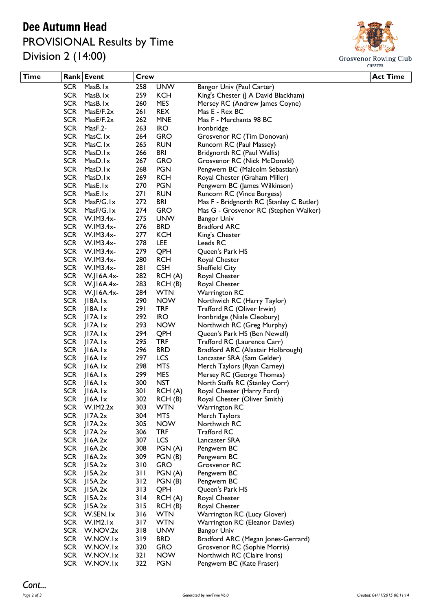## Dee Autumn Head PROVISIONAL Results by Time Division 2 (14:00)



| Time |            | Rank Event                 | Crew       |                          |                                                           | <b>Act Time</b> |
|------|------------|----------------------------|------------|--------------------------|-----------------------------------------------------------|-----------------|
|      | <b>SCR</b> | MasB. I x                  | 258        | <b>UNW</b>               | Bangor Univ (Paul Carter)                                 |                 |
|      | <b>SCR</b> | MasB.Ix                    | 259        | <b>KCH</b>               | King's Chester (J A David Blackham)                       |                 |
|      | <b>SCR</b> | MasB.Ix                    | 260        | <b>MES</b>               | Mersey RC (Andrew James Coyne)                            |                 |
|      | <b>SCR</b> | MasE/F.2x                  | 261        | <b>REX</b>               | Mas E - Rex BC                                            |                 |
|      | <b>SCR</b> | MasE/F.2x                  | 262        | <b>MNE</b>               | Mas F - Merchants 98 BC                                   |                 |
|      | <b>SCR</b> | MasF.2-                    | 263        | <b>IRO</b>               | Ironbridge                                                |                 |
|      | <b>SCR</b> | MasC.1x                    | 264        | <b>GRO</b>               | Grosvenor RC (Tim Donovan)                                |                 |
|      | <b>SCR</b> | MasC.Ix                    | 265        | <b>RUN</b>               | Runcorn RC (Paul Massey)                                  |                 |
|      | <b>SCR</b> | MasD.1x                    | 266        | <b>BRI</b>               | Bridgnorth RC (Paul Wallis)                               |                 |
|      | <b>SCR</b> | MasD.1x                    | 267        | <b>GRO</b>               | Grosvenor RC (Nick McDonald)                              |                 |
|      | <b>SCR</b> | MasD.Ix                    | 268        | <b>PGN</b>               | Pengwern BC (Malcolm Sebastian)                           |                 |
|      | <b>SCR</b> | MasD.1x                    | 269        | <b>RCH</b>               | Royal Chester (Graham Miller)                             |                 |
|      | <b>SCR</b> | Mask.1x                    | 270        | <b>PGN</b>               | Pengwern BC (James Wilkinson)                             |                 |
|      | <b>SCR</b> | MasE.Ix                    | 271        | <b>RUN</b>               | Runcorn RC (Vince Burgess)                                |                 |
|      | <b>SCR</b> | MasF/G.lx                  | 272        | <b>BRI</b>               | Mas F - Bridgnorth RC (Stanley C Butler)                  |                 |
|      | <b>SCR</b> | MasF/G.1x                  | 274        | <b>GRO</b>               | Mas G - Grosvenor RC (Stephen Walker)                     |                 |
|      |            | SCR W.IM3.4x-              | 275        | <b>UNW</b>               | <b>Bangor Univ</b>                                        |                 |
|      | <b>SCR</b> | W.IM3.4x-                  | 276        | <b>BRD</b>               | <b>Bradford ARC</b>                                       |                 |
|      | <b>SCR</b> | W.IM3.4x-                  | 277        | <b>KCH</b>               | King's Chester                                            |                 |
|      | <b>SCR</b> | W.IM3.4x-                  | 278        | LEE                      | Leeds RC                                                  |                 |
|      |            | SCR W.IM3.4x-              | 279        | QPH                      | Queen's Park HS                                           |                 |
|      |            | SCR W.IM3.4x-              | 280        | <b>RCH</b>               | Royal Chester                                             |                 |
|      |            | SCR W.IM3.4x-              | 281        | <b>CSH</b>               | Sheffield City                                            |                 |
|      |            | SCR W.J16A.4x-             | 282        | RCH (A)                  | Royal Chester                                             |                 |
|      |            | SCR W.J16A.4x-             | 283        | RCH(B)                   | Royal Chester                                             |                 |
|      |            | SCR W.J16A.4x-             | 284        | <b>WTN</b>               | <b>Warrington RC</b>                                      |                 |
|      |            | SCR JI8A.Ix<br>SCR JI8A.Ix | 290<br>291 | <b>NOW</b><br><b>TRF</b> | Northwich RC (Harry Taylor)                               |                 |
|      | <b>SCR</b> | JI7A.Ix                    | 292        | <b>IRO</b>               | Trafford RC (Oliver Irwin)<br>Ironbridge (Niale Cleobury) |                 |
|      |            | SCR JI7A.Ix                | 293        | <b>NOW</b>               | Northwich RC (Greg Murphy)                                |                 |
|      |            | SCR JI7A.Ix                | 294        | QPH                      | Queen's Park HS (Ben Newell)                              |                 |
|      |            | SCR JI7A.Ix                | 295        | <b>TRF</b>               | Trafford RC (Laurence Carr)                               |                 |
|      |            | SCR JI6A.Ix                | 296        | <b>BRD</b>               | Bradford ARC (Alastair Holbrough)                         |                 |
|      |            | SCR JI6A.Ix                | 297        | <b>LCS</b>               | Lancaster SRA (Sam Gelder)                                |                 |
|      |            | SCR JI6A.Ix                | 298        | <b>MTS</b>               | Merch Taylors (Ryan Carney)                               |                 |
|      |            | SCR JI6A.Ix                | 299        | MES                      | Mersey RC (George Thomas)                                 |                 |
|      |            | SCR JI6A.Ix                | 300        | <b>NST</b>               | North Staffs RC (Stanley Corr)                            |                 |
|      |            | SCR JI6A.Ix                | 301        | RCH(A)                   | Royal Chester (Harry Ford)                                |                 |
|      |            | SCR JI6A.Ix                | 302        | RCH(B)                   | Royal Chester (Oliver Smith)                              |                 |
|      |            | SCR W.IM2.2x               | 303        | <b>WTN</b>               | <b>Warrington RC</b>                                      |                 |
|      |            | SCR JI7A.2x                | 304        | <b>MTS</b>               | Merch Taylors                                             |                 |
|      |            | $SCR$ $ I7A.2x $           | 305        | <b>NOW</b>               | Northwich RC                                              |                 |
|      |            | SCR JI7A.2x                | 306        | <b>TRF</b>               | <b>Trafford RC</b>                                        |                 |
|      |            | $SCR$ $ 16A.2x $           | 307        | LCS                      | Lancaster SRA                                             |                 |
|      |            | $SCR$ JI6A.2x              | 308        | PGN(A)                   | Pengwern BC                                               |                 |
|      |            | SCR JI6A.2x                | 309        | PGN(B)                   | Pengwern BC                                               |                 |
|      | <b>SCR</b> | J15A.2x                    | 310        | <b>GRO</b>               | Grosvenor RC                                              |                 |
|      |            | SCR JI5A.2x                | 311        | PGN(A)                   | Pengwern BC                                               |                 |
|      |            | SCR JI5A.2x                | 312        | PGN(B)                   | Pengwern BC                                               |                 |
|      |            | SCR JI5A.2x                | 313        | QPH                      | Queen's Park HS                                           |                 |
|      |            | $SCR$ JISA.2x              | 314        | RCH(A)                   | Royal Chester                                             |                 |
|      |            | $SCR$ JISA.2x              | 315        | RCH(B)                   | Royal Chester                                             |                 |
|      |            | SCR W.SEN.Ix               | 316        | <b>WTN</b>               | Warrington RC (Lucy Glover)                               |                 |
|      | <b>SCR</b> | W.IM2.Ix                   | 317        | <b>WTN</b>               | Warrington RC (Eleanor Davies)                            |                 |
|      | <b>SCR</b> | W.NOV.2x                   | 318        | <b>UNW</b>               | <b>Bangor Univ</b>                                        |                 |
|      | <b>SCR</b> | W.NOV.Ix                   | 319        | <b>BRD</b>               | Bradford ARC (Megan Jones-Gerrard)                        |                 |
|      |            | SCR W.NOV.Ix               | 320        | <b>GRO</b>               | Grosvenor RC (Sophie Morris)                              |                 |
|      | <b>SCR</b> | W.NOV.Ix                   | 32 I       | <b>NOW</b>               | Northwich RC (Claire Irons)                               |                 |
|      | <b>SCR</b> | W.NOV.Ix                   | 322        | <b>PGN</b>               | Pengwern BC (Kate Fraser)                                 |                 |